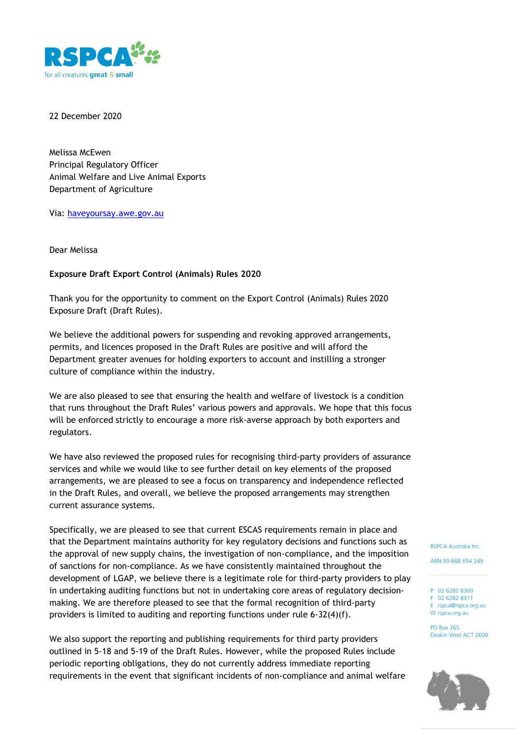

22 December 2020

Melissa McEwen Principal Regulatory Officer Animal Welfare and Live Animal Exports Department of Agriculture

Via: haveyoursay.awe.gov.au

Dear Melissa

## **Exposure Draft Export Control (Animals) Rules 2020**

Thank you for the opportunity to comment on the Export Control (Animals) Rules 2020 Exposure Draft (Draft Rules).

We believe the additional powers for suspending and revoking approved arrangements, permits, and licences proposed in the Draft Rules are positive and will afford the Department greater avenues for holding exporters to account and instilling a stronger culture of compliance within the industry.

We are also pleased to see that ensuring the health and welfare of livestock is a condition that runs throughout the Draft Rules' various powers and approvals. We hope that this focus will be enforced strictly to encourage a more risk-averse approach by both exporters and regulators.

We have also reviewed the proposed rules for recognising third-party providers of assurance services and while we would like to see further detail on key elements of the proposed arrangements, we are pleased to see a focus on transparency and independence reflected in the Draft Rules, and overall, we believe the proposed arrangements may strengthen current assurance systems.

Specifically, we are pleased to see that current ESCAS requirements remain in place and that the Department maintains authority for key regulatory decisions and functions such as the approval of new supply chains, the investigation of non-compliance, and the imposition of sanctions for non-compliance. As we have consistently maintained throughout the development of LGAP, we believe there is a legitimate role for third-party providers to play in undertaking auditing functions but not in undertaking core areas of regulatory decisionmaking. We are therefore pleased to see that the formal recognition of third-party providers is limited to auditing and reporting functions under rule 6-32(4)(f).

We also support the reporting and publishing requirements for third party providers outlined in 5-18 and 5-19 of the Draft Rules. However, while the proposed Rules include periodic reporting obligations, they do not currently address immediate reporting requirements in the event that significant incidents of non-compliance and animal welfare RSPCA Australia Inc.

ABN 99 668 654 249

P 02 6282 8300 F 02 6282 8311 E rspca@rspca.org.au W rspca.org.au

**PO Box 265** Deakin West ACT 2600